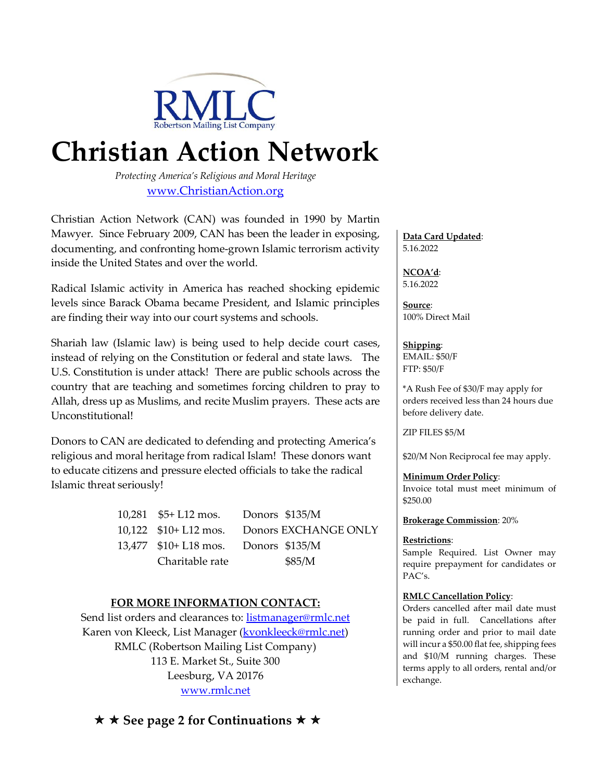

# **Christian Action Network**

*Protecting America's Religious and Moral Heritage* [www.ChristianAction.org](http://www.christianaction.org/)

Christian Action Network (CAN) was founded in 1990 by Martin Mawyer. Since February 2009, CAN has been the leader in exposing, documenting, and confronting home-grown Islamic terrorism activity inside the United States and over the world.

Radical Islamic activity in America has reached shocking epidemic levels since Barack Obama became President, and Islamic principles are finding their way into our court systems and schools.

Shariah law (Islamic law) is being used to help decide court cases, instead of relying on the Constitution or federal and state laws. The U.S. Constitution is under attack! There are public schools across the country that are teaching and sometimes forcing children to pray to Allah, dress up as Muslims, and recite Muslim prayers. These acts are Unconstitutional!

Donors to CAN are dedicated to defending and protecting America's religious and moral heritage from radical Islam! These donors want to educate citizens and pressure elected officials to take the radical Islamic threat seriously!

| 10,281 $$5+L12$ mos. Donors \$135/M  |                                            |
|--------------------------------------|--------------------------------------------|
|                                      | 10,122 \$10+ L12 mos. Donors EXCHANGE ONLY |
| 13,477 \$10+ L18 mos. Donors \$135/M |                                            |
| Charitable rate                      | \$85/M                                     |

## **FOR MORE INFORMATION CONTACT:**

Send list orders and clearances to: **listmanager@rmlc.net** Karen von Kleeck, List Manager (**kvonkleeck@rmlc.net**) RMLC (Robertson Mailing List Company) 113 E. Market St., Suite 300 Leesburg, VA 20176 [www.rmlc.net](http://www.rmlc.net/)

**Data Card Updated**: 5.16.2022

**NCOA'd**: 5.16.2022

**Source**: 100% Direct Mail

**Shipping**: EMAIL: \$50/F FTP: \$50/F

\*A Rush Fee of \$30/F may apply for orders received less than 24 hours due before delivery date.

ZIP FILES \$5/M

\$20/M Non Reciprocal fee may apply.

### **Minimum Order Policy**:

Invoice total must meet minimum of \$250.00

### **Brokerage Commission**: 20%

### **Restrictions**:

Sample Required. List Owner may require prepayment for candidates or PAC's.

### **RMLC Cancellation Policy**:

Orders cancelled after mail date must be paid in full. Cancellations after running order and prior to mail date will incur a \$50.00 flat fee, shipping fees and \$10/M running charges. These terms apply to all orders, rental and/or exchange.